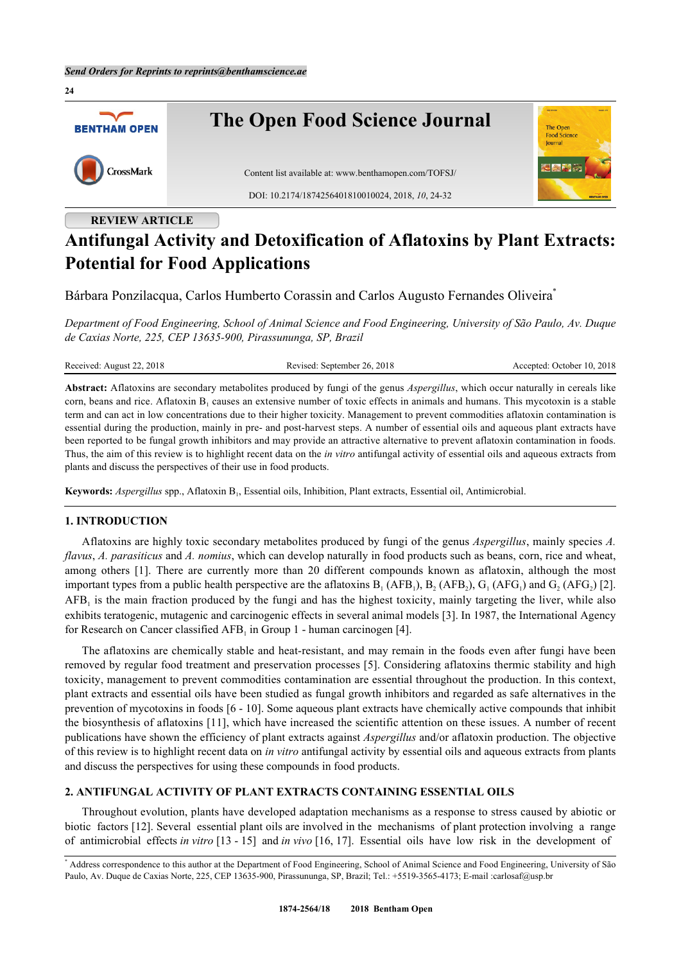

## **REVIEW ARTICLE**

# **Antifungal Activity and Detoxification of Aflatoxins by Plant Extracts: Potential for Food Applications**

Bárbara Ponzilacqua, Carlos Humberto Corassin and Carlos Augusto Fernandes Oliveira[\\*](#page-0-0)

*Department of Food Engineering, School of Animal Science and Food Engineering, University of São Paulo, Av. Duque de Caxias Norte, 225, CEP 13635-900, Pirassununga, SP, Brazil*

| Received: August 22, 2018 | Revised: September 26, 2018                                                                                                              | Accepted: October 10, 2018 |
|---------------------------|------------------------------------------------------------------------------------------------------------------------------------------|----------------------------|
|                           | Abstract: Aflatoxins are secondary metabolites produced by fungi of the genus <i>Aspergillus</i> , which occur naturally in cereals like |                            |

corn, beans and rice. Aflatoxin  $B_1$  causes an extensive number of toxic effects in animals and humans. This mycotoxin is a stable term and can act in low concentrations due to their higher toxicity. Management to prevent commodities aflatoxin contamination is essential during the production, mainly in pre- and post-harvest steps. A number of essential oils and aqueous plant extracts have been reported to be fungal growth inhibitors and may provide an attractive alternative to prevent aflatoxin contamination in foods. Thus, the aim of this review is to highlight recent data on the *in vitro* antifungal activity of essential oils and aqueous extracts from plants and discuss the perspectives of their use in food products.

Keywords: *Aspergillus* spp., Aflatoxin B<sub>1</sub>, Essential oils, Inhibition, Plant extracts, Essential oil, Antimicrobial.

#### **1. INTRODUCTION**

Aflatoxins are highly toxic secondary metabolites produced by fungi of the genus *Aspergillus*, mainly species *A. flavus*, *A. parasiticus* and *A. nomius*, which can develop naturally in food products such as beans, corn, rice and wheat, among others [\[1](#page-5-0)]. There are currently more than 20 different compounds known as aflatoxin, although the most important types from a public health perspective are the aflatoxins  $B_1(AFB_1)$ ,  $B_2(AFB_2)$ ,  $G_1(AFG_1)$  and  $G_2(AFG_2)$  [[2\]](#page-5-1).  $AFB<sub>1</sub>$  is the main fraction produced by the fungi and has the highest toxicity, mainly targeting the liver, while also exhibits teratogenic, mutagenic and carcinogenic effects in several animal models [[3\]](#page-5-2). In 1987, the International Agency for Research on Cancer classified  $AFB<sub>1</sub>$  in Group 1 - human carcinogen [\[4](#page-5-3)].

The aflatoxins are chemically stable and heat-resistant, and may remain in the foods even after fungi have been removed by regular food treatment and preservation processes [\[5\]](#page-5-4). Considering aflatoxins thermic stability and high toxicity, management to prevent commodities contamination are essential throughout the production. In this context, plant extracts and essential oils have been studied as fungal growth inhibitors and regarded as safe alternatives in the prevention of mycotoxins in foods [\[6](#page-5-5) - [10\]](#page-5-6). Some aqueous plant extracts have chemically active compounds that inhibit the biosynthesis of aflatoxins [\[11](#page-5-7)], which have increased the scientific attention on these issues. A number of recent publications have shown the efficiency of plant extracts against *Aspergillus* and/or aflatoxin production. The objective of this review is to highlight recent data on *in vitro* antifungal activity by essential oils and aqueous extracts from plants and discuss the perspectives for using these compounds in food products.

#### **2. ANTIFUNGAL ACTIVITY OF PLANT EXTRACTS CONTAINING ESSENTIAL OILS**

Throughout evolution, plants have developed adaptation mechanisms as a response to stress caused by abiotic or biotic factors [\[12](#page-5-8)]. Several essential plant oils are involved in the mechanisms of plant protection involving a range of antimicrobial effects *in vitro* [[13](#page-5-9) - [15\]](#page-5-10) and *in vivo* [[16,](#page-5-11) [17\]](#page-6-0). Essential oils have low risk in the development of

<span id="page-0-0"></span><sup>\*</sup> Address correspondence to this author at the Department of Food Engineering, School of Animal Science and Food Engineering, University of São Paulo, Av. Duque de Caxias Norte, 225, CEP 13635-900, Pirassununga, SP, Brazil; Tel.: +5519-3565-4173; E-mail [:carlosaf@usp.br](mailto:carlosaf@usp.br)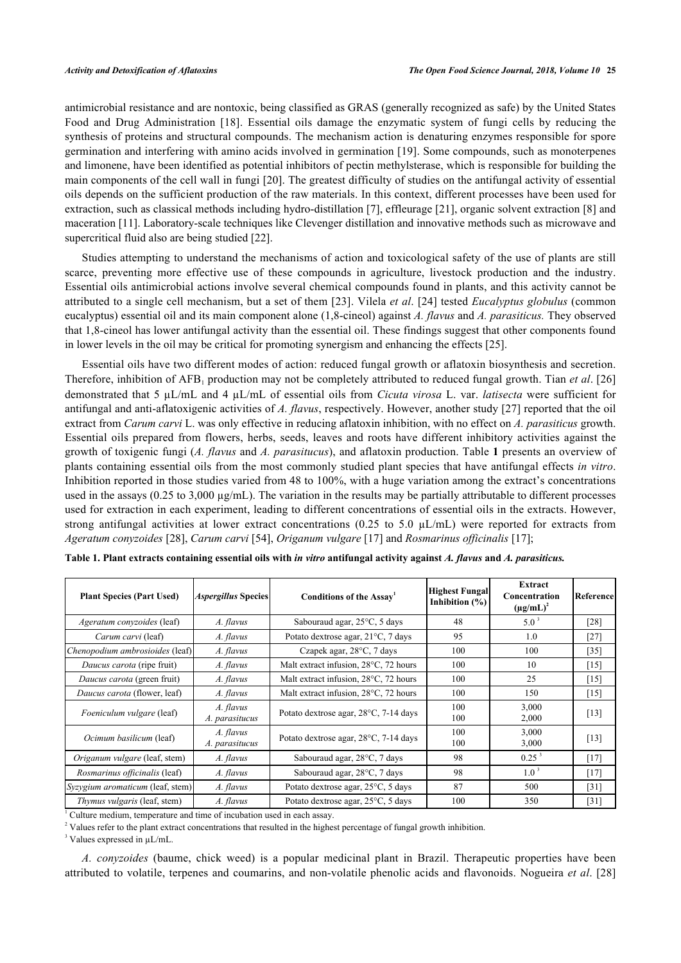antimicrobial resistance and are nontoxic, being classified as GRAS (generally recognized as safe) by the United States Food and Drug Administration [\[18](#page-6-1)]. Essential oils damage the enzymatic system of fungi cells by reducing the synthesis of proteins and structural compounds. The mechanism action is denaturing enzymes responsible for spore germination and interfering with amino acids involved in germination [[19](#page-6-2)]. Some compounds, such as monoterpenes and limonene, have been identified as potential inhibitors of pectin methylsterase, which is responsible for building the main components of the cell wall in fungi [\[20](#page-6-3)]. The greatest difficulty of studies on the antifungal activity of essential oils depends on the sufficient production of the raw materials. In this context, different processes have been used for extraction, such as classical methods including hydro-distillation [[7\]](#page-5-12), effleurage [[21](#page-6-4)], organic solvent extraction [\[8](#page-5-13)] and maceration [[11\]](#page-5-7). Laboratory-scale techniques like Clevenger distillation and innovative methods such as microwave and supercritical fluid also are being studied [[22\]](#page-6-5).

Studies attempting to understand the mechanisms of action and toxicological safety of the use of plants are still scarce, preventing more effective use of these compounds in agriculture, livestock production and the industry. Essential oils antimicrobial actions involve several chemical compounds found in plants, and this activity cannot be attributed to a single cell mechanism, but a set of them [\[23](#page-6-6)]. Vilela *et al*. [[24\]](#page-6-7) tested *Eucalyptus globulus* (common eucalyptus) essential oil and its main component alone (1,8-cineol) against *A. flavus* and *A. parasiticus.* They observed that 1,8-cineol has lower antifungal activity than the essential oil. These findings suggest that other components found in lower levels in the oil may be critical for promoting synergism and enhancing the effects [[25\]](#page-6-8).

Essential oils have two different modes of action: reduced fungal growth or aflatoxin biosynthesis and secretion. Therefore, inhibition of AFB<sub>1</sub> production may not be completely attributed to reduced fungal growth. Tian *et al.* [[26](#page-6-9)] demonstrated that 5 µL/mL and 4 µL/mL of essential oils from *Cicuta virosa* L. var. *latisecta* were sufficient for antifungal and anti-aflatoxigenic activities of *A. flavus*, respectively. However, another study [[27](#page-6-10)] reported that the oil extract from *Carum carvi* L. was only effective in reducing aflatoxin inhibition, with no effect on *A. parasiticus* growth. Essential oils prepared from flowers, herbs, seeds, leaves and roots have different inhibitory activities against the growth of toxigenic fungi (*A. flavus* and *A. parasitucus*), and aflatoxin production. Table **[1](#page-1-0)** presents an overview of plants containing essential oils from the most commonly studied plant species that have antifungal effects *in vitro*. Inhibition reported in those studies varied from 48 to 100%, with a huge variation among the extract's concentrations used in the assays ( $0.25$  to  $3,000 \mu g/mL$ ). The variation in the results may be partially attributable to different processes used for extraction in each experiment, leading to different concentrations of essential oils in the extracts. However, strong antifungal activities at lower extract concentrations (0.25 to 5.0  $\mu$ L/mL) were reported for extracts from *Ageratum conyzoides* [\[28](#page-6-11)], *Carum carvi* [\[54](#page-7-0)], *Origanum vulgare* [[17\]](#page-6-0) and *Rosmarinus officinalis* [[17\]](#page-6-0);

| <b>Plant Species (Part Used)</b>  | <i><b>Aspergillus Species</b></i> | Conditions of the Assay <sup>1</sup>  | <b>Highest Fungal</b><br>Inhibition $(\% )$ | Extract<br>Concentration<br>$(\mu g/mL)^2$ | Reference |
|-----------------------------------|-----------------------------------|---------------------------------------|---------------------------------------------|--------------------------------------------|-----------|
| <i>Ageratum conyzoides</i> (leaf) | A. flavus                         | Sabouraud agar, 25°C, 5 days          | 48                                          | $5.0^3$                                    | [28]      |
| Carum carvi (leaf)                | A. flavus                         | Potato dextrose agar, 21°C, 7 days    | 95                                          | 1.0                                        | $[27]$    |
| Chenopodium ambrosioides (leaf)   | A. flavus                         | Czapek agar, 28°C, 7 days             | 100                                         | 100                                        | $[35]$    |
| Daucus carota (ripe fruit)        | A. flavus                         | Malt extract infusion, 28°C, 72 hours | 100                                         | 10                                         | [15]      |
| Daucus carota (green fruit)       | A. flavus                         | Malt extract infusion, 28°C, 72 hours | 100                                         | 25                                         | [15]      |
| Daucus carota (flower, leaf)      | A. flavus                         | Malt extract infusion, 28°C, 72 hours | 100                                         | 150                                        | $[15]$    |
| <i>Foeniculum vulgare</i> (leaf)  | A. flavus<br>A. parasitucus       | Potato dextrose agar, 28°C, 7-14 days | 100<br>100                                  | 3,000<br>2,000                             | $[13]$    |
| Ocimum basilicum (leaf)           | A. flavus<br>A. parasitucus       | Potato dextrose agar, 28°C, 7-14 days | 100<br>100                                  | 3,000<br>3,000                             | [13]      |
| Origanum vulgare (leaf, stem)     | A. flavus                         | Sabouraud agar, 28°C, 7 days          | 98                                          | $0.25^{3}$                                 | $[17]$    |
| Rosmarinus officinalis (leaf)     | A. flavus                         | Sabouraud agar, 28°C, 7 days          | 98                                          | $1.0^3$                                    | $[17]$    |
| Syzygium aromaticum (leaf, stem)  | A. flavus                         | Potato dextrose agar, 25°C, 5 days    | 87                                          | 500                                        | $[31]$    |
| Thymus vulgaris (leaf, stem)      | A. flavus                         | Potato dextrose agar, 25°C, 5 days    | 100                                         | 350                                        | $[31]$    |

<span id="page-1-0"></span>**Table 1. Plant extracts containing essential oils with** *in vitro* **antifungal activity against** *A. flavus* **and** *A. parasiticus.*

<sup>1</sup> Culture medium, temperature and time of incubation used in each assay.

<sup>2</sup> Values refer to the plant extract concentrations that resulted in the highest percentage of fungal growth inhibition.

<sup>3</sup> Values expressed in  $\mu L/mL$ .

*A. conyzoides* (baume, chick weed) is a popular medicinal plant in Brazil. Therapeutic properties have been attributed to volatile, terpenes and coumarins, and non-volatile phenolic acids and flavonoids. Nogueira *et al*. [[28](#page-6-11)]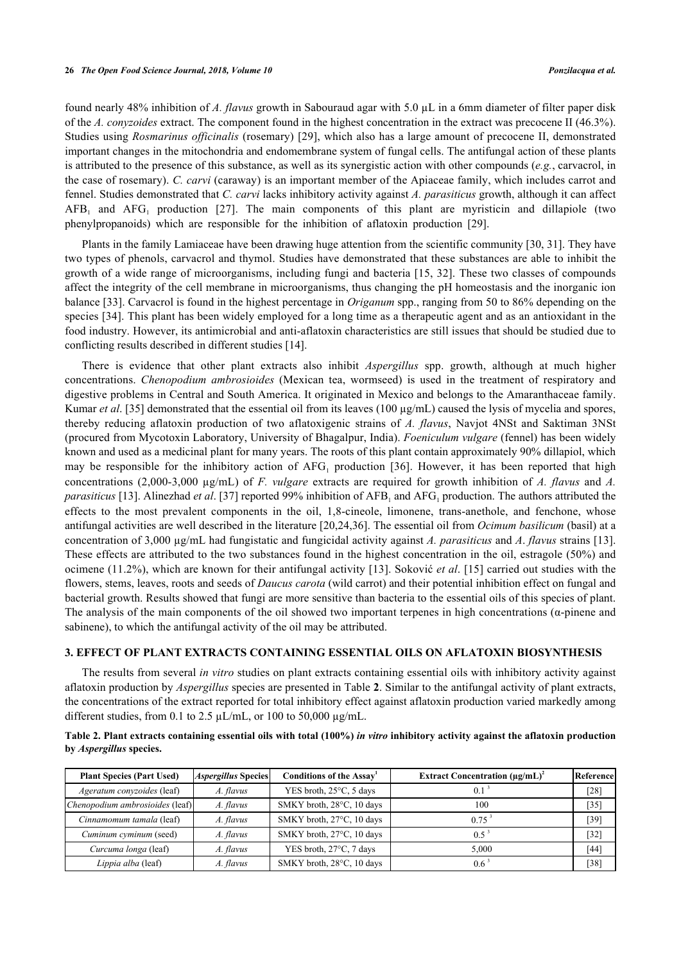found nearly 48% inhibition of *A. flavus* growth in Sabouraud agar with 5.0 µL in a 6mm diameter of filter paper disk of the *A. conyzoides* extract. The component found in the highest concentration in the extract was precocene II (46.3%). Studies using *Rosmarinus officinalis* (rosemary) [[29](#page-6-14)], which also has a large amount of precocene II, demonstrated important changes in the mitochondria and endomembrane system of fungal cells. The antifungal action of these plants is attributed to the presence of this substance, as well as its synergistic action with other compounds (*e.g.*, carvacrol, in the case of rosemary). *C. carvi* (caraway) is an important member of the Apiaceae family, which includes carrot and fennel. Studies demonstrated that *C. carvi* lacks inhibitory activity against *A. parasiticus* growth, although it can affect  $AFB<sub>1</sub>$ and  $AFG<sub>1</sub>$  production [[27](#page-6-10)]. The main components of this plant are myristicin and dillapiole (two phenylpropanoids) which are responsible for the inhibition of aflatoxin production [\[29](#page-6-14)].

Plants in the family Lamiaceae have been drawing huge attention from the scientific community [\[30](#page-6-15), [31](#page-6-13)]. They have two types of phenols, carvacrol and thymol. Studies have demonstrated that these substances are able to inhibit the growth of a wide range of microorganisms, including fungi and bacteria [[15](#page-5-10), [32](#page-6-16)]. These two classes of compounds affect the integrity of the cell membrane in microorganisms, thus changing the pH homeostasis and the inorganic ion balance [\[33\]](#page-6-17). Carvacrol is found in the highest percentage in *Origanum* spp., ranging from 50 to 86% depending on the species [[34\]](#page-6-18). This plant has been widely employed for a long time as a therapeutic agent and as an antioxidant in the food industry. However, its antimicrobial and anti-aflatoxin characteristics are still issues that should be studied due to conflicting results described in different studies [[14\]](#page-5-14).

There is evidence that other plant extracts also inhibit *Aspergillus* spp. growth, although at much higher concentrations. *Chenopodium ambrosioides* (Mexican tea, wormseed) is used in the treatment of respiratory and digestive problems in Central and South America. It originated in Mexico and belongs to the Amaranthaceae family. Kumar *et al.* [[35\]](#page-6-12) demonstrated that the essential oil from its leaves (100 µg/mL) caused the lysis of mycelia and spores, thereby reducing aflatoxin production of two aflatoxigenic strains of *A. flavus*, Navjot 4NSt and Saktiman 3NSt (procured from Mycotoxin Laboratory, University of Bhagalpur, India). *Foeniculum vulgare* (fennel) has been widely known and used as a medicinal plant for many years. The roots of this plant contain approximately 90% dillapiol, which maybe responsible for the inhibitory action of  $AFG<sub>1</sub>$  production [[36\]](#page-7-1). However, it has been reported that high concentrations (2,000-3,000 µg/mL) of *F. vulgare* extracts are required for growth inhibition of *A. flavus* and *A.* parasiticus [\[13](#page-5-9)]. Alinezhad *et al.* [[37](#page-7-2)] reported 99% inhibition of AFB<sub>1</sub> and AFG<sub>1</sub> production. The authors attributed the effects to the most prevalent components in the oil, 1,8-cineole, limonene, trans-anethole, and fenchone, whose antifungal activities are well described in the literature [[20](#page-6-3)[,24](#page-6-7),[36](#page-7-1)]. The essential oil from *Ocimum basilicum* (basil) at a concentration of 3,000 µg/mL had fungistatic and fungicidal activity against *A. parasiticus* and *A*. *flavus* strains [[13\]](#page-5-9). These effects are attributed to the two substances found in the highest concentration in the oil, estragole (50%) and ocimene (11.2%), which are known for their antifungal activity [[13](#page-5-9)]. Soković *et al*. [\[15](#page-5-10)] carried out studies with the flowers, stems, leaves, roots and seeds of *Daucus carota* (wild carrot) and their potential inhibition effect on fungal and bacterial growth. Results showed that fungi are more sensitive than bacteria to the essential oils of this species of plant. The analysis of the main components of the oil showed two important terpenes in high concentrations (α-pinene and sabinene), to which the antifungal activity of the oil may be attributed.

#### **3. EFFECT OF PLANT EXTRACTS CONTAINING ESSENTIAL OILS ON AFLATOXIN BIOSYNTHESIS**

The results from several *in vitro* studies on plant extracts containing essential oils with inhibitory activity against aflatoxin production by *Aspergillus* species are presented in Table **[2](#page-2-0)**. Similar to the antifungal activity of plant extracts, the concentrations of the extract reported for total inhibitory effect against aflatoxin production varied markedly among different studies, from 0.1 to 2.5  $\mu$ L/mL, or 100 to 50,000  $\mu$ g/mL.

<span id="page-2-0"></span>**Table 2. Plant extracts containing essential oils with total (100%)** *in vitro* **inhibitory activity against the aflatoxin production by** *Aspergillus* **species.**

| <b>Plant Species (Part Used)</b>  | <b>Aspergillus Species</b> | Conditions of the Assay <sup>1</sup> | Extract Concentration $(\mu g/mL)^2$ | Reference |
|-----------------------------------|----------------------------|--------------------------------------|--------------------------------------|-----------|
| <i>Ageratum conyzoides</i> (leaf) | A. flavus                  | YES broth, 25°C, 5 days              | 0.1                                  | [28]      |
| Chenopodium ambrosioides (leaf)   | A. flavus                  | SMKY broth, 28°C, 10 days            | 100                                  | [35]      |
| Cinnamomum tamala (leaf)          | A. flavus                  | SMKY broth, 27°C, 10 days            | $0.75$ <sup>3</sup>                  | [39]      |
| Cuminum cyminum (seed)            | A. flavus                  | SMKY broth, 27°C, 10 days            | $0.5^{\circ}$                        | [32]      |
| Curcuma longa (leaf)              | A. flavus                  | YES broth, 27°C, 7 days              | 5.000                                | [44]      |
| Lippia alba (leaf)                | A. flavus                  | SMKY broth, 28°C, 10 days            | 0.6                                  | [38]      |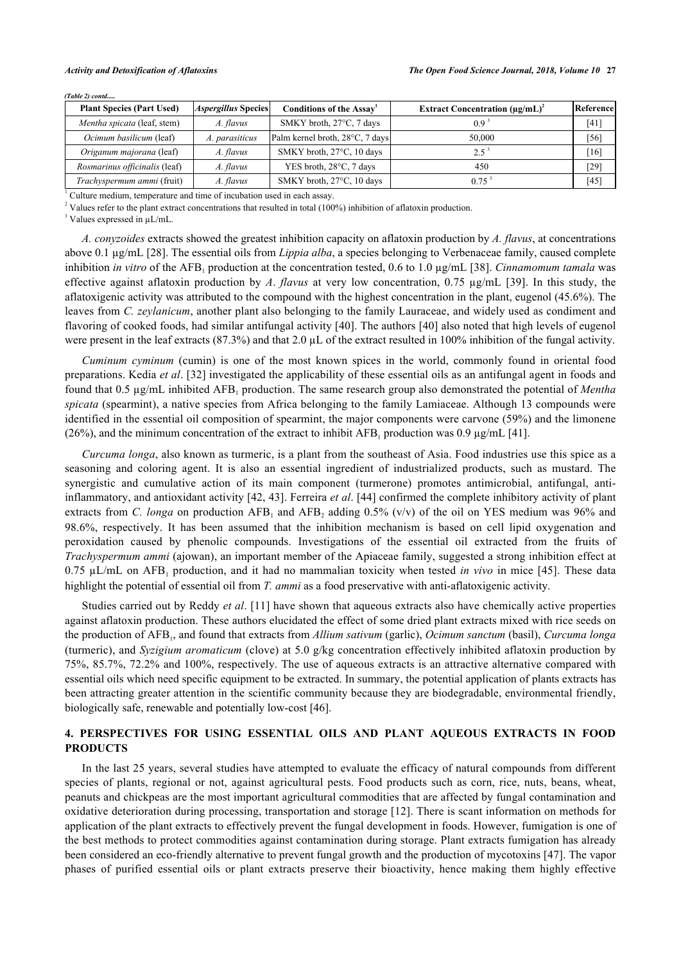| <b>Plant Species (Part Used)</b>     | <i><b>Aspergillus Species</b></i> | Conditions of the Assay         | <b>Extract Concentration (ug/mL)<sup>2</sup></b> | Reference |
|--------------------------------------|-----------------------------------|---------------------------------|--------------------------------------------------|-----------|
| Mentha spicata (leaf, stem)          | A. flavus                         | SMKY broth, 27°C, 7 days        | $0.9^{\circ}$                                    | [41]      |
| Ocimum basilicum (leaf)              | A. parasiticus                    | Palm kernel broth, 28°C, 7 days | 50,000                                           | [56]      |
| Origanum majorana (leaf)             | A. flavus                         | SMKY broth, 27°C, 10 days       |                                                  | [16]      |
| <i>Rosmarinus officinalis</i> (leaf) | A. flavus                         | YES broth, 28°C, 7 days         | 450                                              | [29]      |
| Trachyspermum ammi (fruit)           | A. flavus                         | SMKY broth, 27°C, 10 days       | 0.75                                             | [45]      |

*(Table 2) contd.....*

<sup>1</sup> Culture medium, temperature and time of incubation used in each assay.

<sup>2</sup> Values refer to the plant extract concentrations that resulted in total (100%) inhibition of aflatoxin production.

<sup>3</sup> Values expressed in  $\mu L/mL$ .

*A. conyzoides* extracts showed the greatest inhibition capacity on aflatoxin production by *A. flavus*, at concentrations above 0.1 µg/mL [\[28](#page-6-11)]. The essential oils from *Lippia alba*, a species belonging to Verbenaceae family, caused complete inhibition *in vitro* of the AFB<sub>1</sub> production at the concentration tested, 0.6 to 1.0 µg/mL [\[38\]](#page-7-5). *Cinnamomum tamala* was effective against aflatoxin production by *A*. *flavus* at very low concentration, 0.75 µg/mL[[39](#page-7-3)]. In this study, the aflatoxigenic activity was attributed to the compound with the highest concentration in the plant, eugenol (45.6%). The leaves from *C. zeylanicum*, another plant also belonging to the family Lauraceae, and widely used as condiment and flavoring of cooked foods, had similar antifungal activity [\[40\]](#page-7-8). The authors [[40\]](#page-7-8) also noted that high levels of eugenol were present in the leaf extracts (87.3%) and that 2.0  $\mu$ L of the extract resulted in 100% inhibition of the fungal activity.

*Cuminum cyminum* (cumin) is one of the most known spices in the world, commonly found in oriental food preparations. Kedia *et al*. [[32\]](#page-6-16) investigated the applicability of these essential oils as an antifungal agent in foods and found that 0.5 μg/mL inhibited AFB<sub>1</sub> production. The same research group also demonstrated the potential of *Mentha spicata* (spearmint), a native species from Africa belonging to the family Lamiaceae. Although 13 compounds were identified in the essential oil composition of spearmint, the major components were carvone (59%) and the limonene (26%), and the minimum concentration of the extract to inhibit  $AFB<sub>1</sub>$  production was 0.9 µg/mL [[41\]](#page-7-6).

*Curcuma longa*, also known as turmeric, is a plant from the southeast of Asia. Food industries use this spice as a seasoning and coloring agent. It is also an essential ingredient of industrialized products, such as mustard. The synergistic and cumulative action of its main component (turmerone) promotes antimicrobial, antifungal, antiinflammatory, and antioxidant activity [[42,](#page-7-9) [43](#page-7-10)]. Ferreira *et al*. [\[44\]](#page-7-4) confirmed the complete inhibitory activity of plant extracts from *C. longa* on production  $AFB_1$  and  $AFB_2$  adding 0.5% (v/v) of the oil on YES medium was 96% and 98.6%, respectively. It has been assumed that the inhibition mechanism is based on cell lipid oxygenation and peroxidation caused by phenolic compounds. Investigations of the essential oil extracted from the fruits of *Trachyspermum ammi* (ajowan), an important member of the Apiaceae family, suggested a strong inhibition effect at  $0.75 \mu L/mL$  on  $AFB_1$  production, and it had no mammalian toxicity when tested *in vivo* in mice [[45\]](#page-7-7). These data highlight the potential of essential oil from *T. ammi* as a food preservative with anti-aflatoxigenic activity.

Studies carried out by Reddy *et al*. [\[11\]](#page-5-7) have shown that aqueous extracts also have chemically active properties against aflatoxin production. These authors elucidated the effect of some dried plant extracts mixed with rice seeds on the production of AFB<sub>1</sub>, and found that extracts from *Allium sativum* (garlic), *Ocimum sanctum* (basil), *Curcuma longa* (turmeric), and *Syzigium aromaticum* (clove) at 5.0 g/kg concentration effectively inhibited aflatoxin production by 75%, 85.7%, 72.2% and 100%, respectively. The use of aqueous extracts is an attractive alternative compared with essential oils which need specific equipment to be extracted. In summary, the potential application of plants extracts has been attracting greater attention in the scientific community because they are biodegradable, environmental friendly, biologically safe, renewable and potentially low-cost [\[46](#page-7-11)].

### **4. PERSPECTIVES FOR USING ESSENTIAL OILS AND PLANT AQUEOUS EXTRACTS IN FOOD PRODUCTS**

In the last 25 years, several studies have attempted to evaluate the efficacy of natural compounds from different species of plants, regional or not, against agricultural pests. Food products such as corn, rice, nuts, beans, wheat, peanuts and chickpeas are the most important agricultural commodities that are affected by fungal contamination and oxidative deterioration during processing, transportation and storage [\[12](#page-5-8)]. There is scant information on methods for application of the plant extracts to effectively prevent the fungal development in foods. However, fumigation is one of the best methods to protect commodities against contamination during storage. Plant extracts fumigation has already been considered an eco-friendly alternative to prevent fungal growth and the production of mycotoxins [[47\]](#page-7-12). The vapor phases of purified essential oils or plant extracts preserve their bioactivity, hence making them highly effective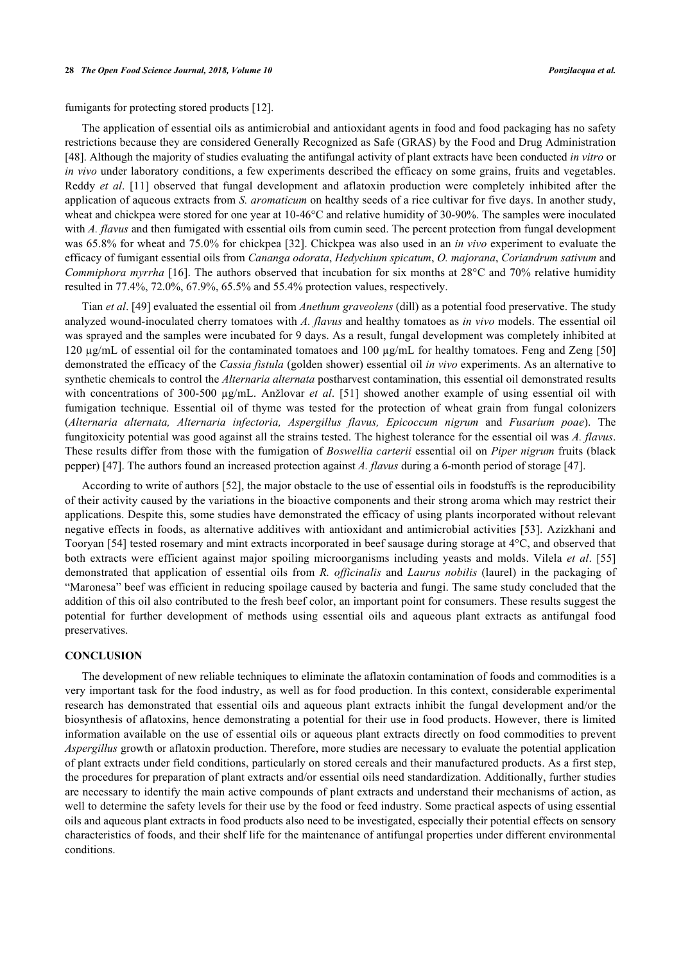fumigants for protecting stored products [[12\]](#page-5-8).

The application of essential oils as antimicrobial and antioxidant agents in food and food packaging has no safety restrictions because they are considered Generally Recognized as Safe (GRAS) by the Food and Drug Administration [\[48](#page-7-13)]. Although the majority of studies evaluating the antifungal activity of plant extracts have been conducted *in vitro* or *in vivo* under laboratory conditions, a few experiments described the efficacy on some grains, fruits and vegetables. Reddy *et al*.[[11](#page-5-7)] observed that fungal development and aflatoxin production were completely inhibited after the application of aqueous extracts from *S. aromaticum* on healthy seeds of a rice cultivar for five days. In another study, wheat and chickpea were stored for one year at 10-46°C and relative humidity of 30-90%. The samples were inoculated with *A. flavus* and then fumigated with essential oils from cumin seed. The percent protection from fungal development was 65.8% for wheat and 75.0% for chickpea [[32\]](#page-6-16). Chickpea was also used in an *in vivo* experiment to evaluate the efficacy of fumigant essential oils from *Cananga odorata*, *Hedychium spicatum*, *O. majorana*, *Coriandrum sativum* and *Commiphora myrrha* [[16\]](#page-5-11). The authors observed that incubation for six months at 28°C and 70% relative humidity resulted in 77.4%, 72.0%, 67.9%, 65.5% and 55.4% protection values, respectively.

Tian *et al*. [\[49](#page-7-14)] evaluated the essential oil from *Anethum graveolens* (dill) as a potential food preservative. The study analyzed wound-inoculated cherry tomatoes with *A. flavus* and healthy tomatoes as *in vivo* models. The essential oil was sprayed and the samples were incubated for 9 days. As a result, fungal development was completely inhibited at 120 µg/mL of essential oil for the contaminated tomatoes and 100 µg/mL for healthy tomatoes. Feng and Zeng [[50](#page-7-15)] demonstrated the efficacy of the *Cassia fistula* (golden shower) essential oil *in vivo* experiments. As an alternative to synthetic chemicals to control the *Alternaria alternata* postharvest contamination, this essential oil demonstrated results with concentrations of 300-500 µg/mL. Anžlovar *et al.* [\[51\]](#page-7-16) showed another example of using essential oil with fumigation technique. Essential oil of thyme was tested for the protection of wheat grain from fungal colonizers (*Alternaria alternata, Alternaria infectoria, Aspergillus flavus, Epicoccum nigrum* and *Fusarium poae*). The fungitoxicity potential was good against all the strains tested. The highest tolerance for the essential oil was *A. flavus*. These results differ from those with the fumigation of *Boswellia carterii* essential oil on *Piper nigrum* fruits (black pepper) [\[47](#page-7-12)]. The authors found an increased protection against *A. flavus* during a 6-month period of storage [\[47](#page-7-12)].

According to write of authors [[52\]](#page-7-17), the major obstacle to the use of essential oils in foodstuffs is the reproducibility of their activity caused by the variations in the bioactive components and their strong aroma which may restrict their applications. Despite this, some studies have demonstrated the efficacy of using plants incorporated without relevant negative effects in foods, as alternative additives with antioxidant and antimicrobial activities [\[53\]](#page-7-18). Azizkhani and Tooryan [\[54](#page-7-0)] tested rosemary and mint extracts incorporated in beef sausage during storage at 4°C, and observed that both extracts were efficient against major spoiling microorganisms including yeasts and molds. Vilela *et al*.[[55](#page-8-1)] demonstrated that application of essential oils from *R. officinalis* and *Laurus nobilis* (laurel) in the packaging of "Maronesa" beef was efficient in reducing spoilage caused by bacteria and fungi. The same study concluded that the addition of this oil also contributed to the fresh beef color, an important point for consumers. These results suggest the potential for further development of methods using essential oils and aqueous plant extracts as antifungal food preservatives.

#### **CONCLUSION**

The development of new reliable techniques to eliminate the aflatoxin contamination of foods and commodities is a very important task for the food industry, as well as for food production. In this context, considerable experimental research has demonstrated that essential oils and aqueous plant extracts inhibit the fungal development and/or the biosynthesis of aflatoxins, hence demonstrating a potential for their use in food products. However, there is limited information available on the use of essential oils or aqueous plant extracts directly on food commodities to prevent *Aspergillus* growth or aflatoxin production. Therefore, more studies are necessary to evaluate the potential application of plant extracts under field conditions, particularly on stored cereals and their manufactured products. As a first step, the procedures for preparation of plant extracts and/or essential oils need standardization. Additionally, further studies are necessary to identify the main active compounds of plant extracts and understand their mechanisms of action, as well to determine the safety levels for their use by the food or feed industry. Some practical aspects of using essential oils and aqueous plant extracts in food products also need to be investigated, especially their potential effects on sensory characteristics of foods, and their shelf life for the maintenance of antifungal properties under different environmental conditions.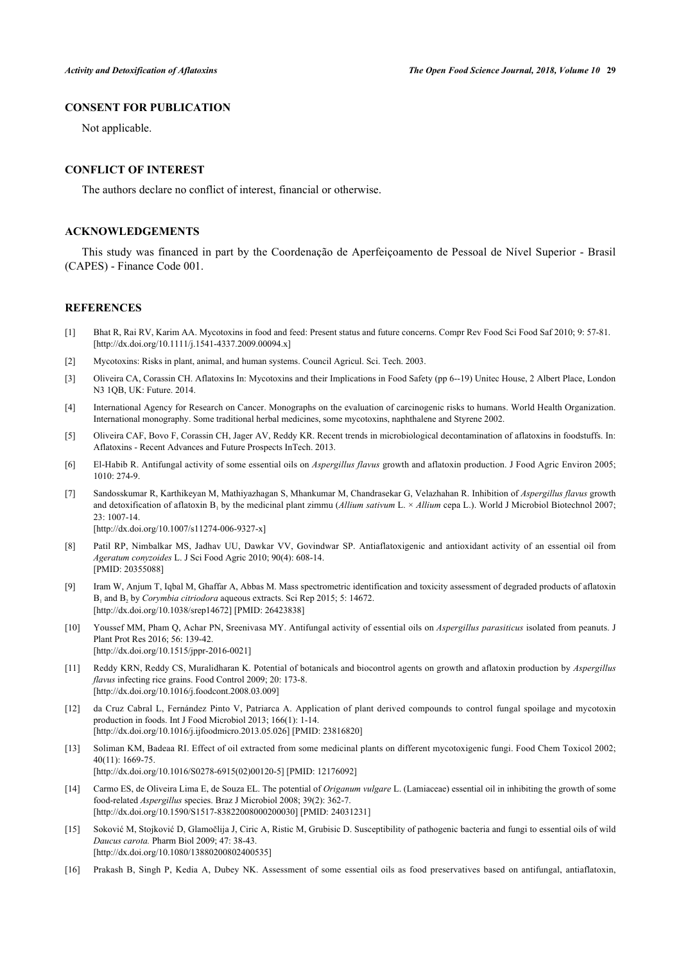#### **CONSENT FOR PUBLICATION**

Not applicable.

### **CONFLICT OF INTEREST**

The authors declare no conflict of interest, financial or otherwise.

#### **ACKNOWLEDGEMENTS**

This study was financed in part by the Coordenação de Aperfeiçoamento de Pessoal de Nível Superior - Brasil (CAPES) - Finance Code 001.

#### **REFERENCES**

- <span id="page-5-0"></span>[1] Bhat R, Rai RV, Karim AA. Mycotoxins in food and feed: Present status and future concerns. Compr Rev Food Sci Food Saf 2010; 9: 57-81. [\[http://dx.doi.org/10.1111/j.1541-4337.2009.00094.x\]](http://dx.doi.org/10.1111/j.1541-4337.2009.00094.x)
- <span id="page-5-1"></span>[2] Mycotoxins: Risks in plant, animal, and human systems. Council Agricul. Sci. Tech. 2003.
- <span id="page-5-2"></span>[3] Oliveira CA, Corassin CH. Aflatoxins In: Mycotoxins and their Implications in Food Safety (pp 6--19) Unitec House, 2 Albert Place, London N3 1QB, UK: Future. 2014.
- <span id="page-5-3"></span>[4] International Agency for Research on Cancer. Monographs on the evaluation of carcinogenic risks to humans. World Health Organization. International monography. Some traditional herbal medicines, some mycotoxins, naphthalene and Styrene 2002.
- <span id="page-5-4"></span>[5] Oliveira CAF, Bovo F, Corassin CH, Jager AV, Reddy KR. Recent trends in microbiological decontamination of aflatoxins in foodstuffs. In: Aflatoxins - Recent Advances and Future Prospects InTech. 2013.
- <span id="page-5-5"></span>[6] El-Habib R. Antifungal activity of some essential oils on *Aspergillus flavus* growth and aflatoxin production. J Food Agric Environ 2005; 1010: 274-9.
- <span id="page-5-12"></span>[7] Sandosskumar R, Karthikeyan M, Mathiyazhagan S, Mhankumar M, Chandrasekar G, Velazhahan R. Inhibition of *Aspergillus flavus* growth and detoxification of aflatoxin B<sub>1</sub> by the medicinal plant zimmu (*Allium sativum* L. × *Allium* cepa L.). World J Microbiol Biotechnol 2007; 23: 1007-14. [\[http://dx.doi.org/10.1007/s11274-006-9327-x\]](http://dx.doi.org/10.1007/s11274-006-9327-x)
- <span id="page-5-13"></span>[8] Patil RP, Nimbalkar MS, Jadhav UU, Dawkar VV, Govindwar SP. Antiaflatoxigenic and antioxidant activity of an essential oil from *Ageratum conyzoides* L. J Sci Food Agric 2010; 90(4): 608-14. [PMID: [20355088\]](http://www.ncbi.nlm.nih.gov/pubmed/20355088)
- [9] Iram W, Anjum T, Iqbal M, Ghaffar A, Abbas M. Mass spectrometric identification and toxicity assessment of degraded products of aflatoxin B<sub>1</sub> and B<sub>2</sub> by *Corymbia citriodora* aqueous extracts. Sci Rep 2015; 5: 14672. [\[http://dx.doi.org/10.1038/srep14672](http://dx.doi.org/10.1038/srep14672)] [PMID: [26423838\]](http://www.ncbi.nlm.nih.gov/pubmed/26423838)
- <span id="page-5-6"></span>[10] Youssef MM, Pham Q, Achar PN, Sreenivasa MY. Antifungal activity of essential oils on *Aspergillus parasiticus* isolated from peanuts. J Plant Prot Res 2016; 56: 139-42. [\[http://dx.doi.org/10.1515/jppr-2016-0021](http://dx.doi.org/10.1515/jppr-2016-0021)]
- <span id="page-5-7"></span>[11] Reddy KRN, Reddy CS, Muralidharan K. Potential of botanicals and biocontrol agents on growth and aflatoxin production by *Aspergillus flavus* infecting rice grains. Food Control 2009; 20: 173-8. [\[http://dx.doi.org/10.1016/j.foodcont.2008.03.009](http://dx.doi.org/10.1016/j.foodcont.2008.03.009)]
- <span id="page-5-8"></span>[12] da Cruz Cabral L, Fernández Pinto V, Patriarca A. Application of plant derived compounds to control fungal spoilage and mycotoxin production in foods. Int J Food Microbiol 2013; 166(1): 1-14. [\[http://dx.doi.org/10.1016/j.ijfoodmicro.2013.05.026\]](http://dx.doi.org/10.1016/j.ijfoodmicro.2013.05.026) [PMID: [23816820](http://www.ncbi.nlm.nih.gov/pubmed/23816820)]
- <span id="page-5-9"></span>[13] Soliman KM, Badeaa RI. Effect of oil extracted from some medicinal plants on different mycotoxigenic fungi. Food Chem Toxicol 2002; 40(11): 1669-75. [\[http://dx.doi.org/10.1016/S0278-6915\(02\)00120-5\]](http://dx.doi.org/10.1016/S0278-6915(02)00120-5) [PMID: [12176092](http://www.ncbi.nlm.nih.gov/pubmed/12176092)]
- <span id="page-5-14"></span>[14] Carmo ES, de Oliveira Lima E, de Souza EL. The potential of *Origanum vulgare* L. (Lamiaceae) essential oil in inhibiting the growth of some food-related *Aspergillus* species. Braz J Microbiol 2008; 39(2): 362-7. [\[http://dx.doi.org/10.1590/S1517-83822008000200030\]](http://dx.doi.org/10.1590/S1517-83822008000200030) [PMID: [24031231](http://www.ncbi.nlm.nih.gov/pubmed/24031231)]
- <span id="page-5-10"></span>[15] Soković M, Stojković D, Glamočlija J, Ciric A, Ristic M, Grubisic D. Susceptibility of pathogenic bacteria and fungi to essential oils of wild *Daucus carota.* Pharm Biol 2009; 47: 38-43. [\[http://dx.doi.org/10.1080/13880200802400535\]](http://dx.doi.org/10.1080/13880200802400535)
- <span id="page-5-11"></span>[16] Prakash B, Singh P, Kedia A, Dubey NK. Assessment of some essential oils as food preservatives based on antifungal, antiaflatoxin,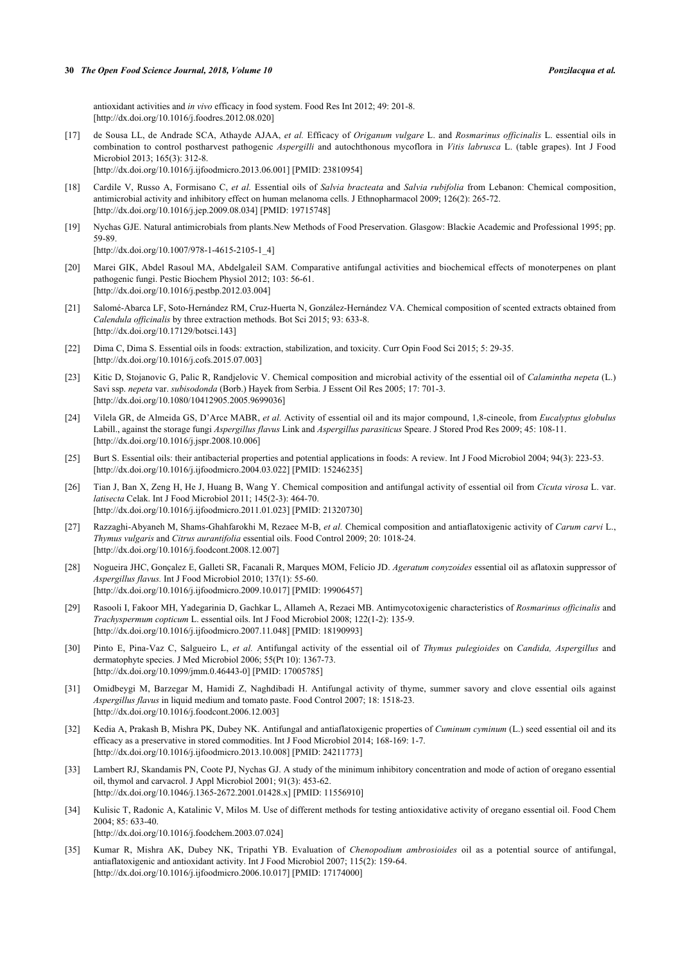antioxidant activities and *in vivo* efficacy in food system. Food Res Int 2012; 49: 201-8. [\[http://dx.doi.org/10.1016/j.foodres.2012.08.020](http://dx.doi.org/10.1016/j.foodres.2012.08.020)]

- <span id="page-6-0"></span>[17] de Sousa LL, de Andrade SCA, Athayde AJAA, *et al.* Efficacy of *Origanum vulgare* L. and *Rosmarinus officinalis* L. essential oils in combination to control postharvest pathogenic *Aspergilli* and autochthonous mycoflora in *Vitis labrusca* L. (table grapes). Int J Food Microbiol 2013; 165(3): 312-8. [\[http://dx.doi.org/10.1016/j.ijfoodmicro.2013.06.001\]](http://dx.doi.org/10.1016/j.ijfoodmicro.2013.06.001) [PMID: [23810954](http://www.ncbi.nlm.nih.gov/pubmed/23810954)]
- <span id="page-6-1"></span>[18] Cardile V, Russo A, Formisano C, *et al.* Essential oils of *Salvia bracteata* and *Salvia rubifolia* from Lebanon: Chemical composition, antimicrobial activity and inhibitory effect on human melanoma cells. J Ethnopharmacol 2009; 126(2): 265-72. [\[http://dx.doi.org/10.1016/j.jep.2009.08.034\]](http://dx.doi.org/10.1016/j.jep.2009.08.034) [PMID: [19715748](http://www.ncbi.nlm.nih.gov/pubmed/19715748)]
- <span id="page-6-2"></span>[19] Nychas GJE. Natural antimicrobials from plants.New Methods of Food Preservation. Glasgow: Blackie Academic and Professional 1995; pp. 59-89.

```
[http://dx.doi.org/10.1007/978-1-4615-2105-1_4]
```
- <span id="page-6-3"></span>[20] Marei GIK, Abdel Rasoul MA, Abdelgaleil SAM. Comparative antifungal activities and biochemical effects of monoterpenes on plant pathogenic fungi. Pestic Biochem Physiol 2012; 103: 56-61. [\[http://dx.doi.org/10.1016/j.pestbp.2012.03.004\]](http://dx.doi.org/10.1016/j.pestbp.2012.03.004)
- <span id="page-6-4"></span>[21] Salomé-Abarca LF, Soto-Hernández RM, Cruz-Huerta N, González-Hernández VA. Chemical composition of scented extracts obtained from *Calendula officinalis* by three extraction methods. Bot Sci 2015; 93: 633-8. [\[http://dx.doi.org/10.17129/botsci.143\]](http://dx.doi.org/10.17129/botsci.143)
- <span id="page-6-5"></span>[22] Dima C, Dima S. Essential oils in foods: extraction, stabilization, and toxicity. Curr Opin Food Sci 2015; 5: 29-35. [\[http://dx.doi.org/10.1016/j.cofs.2015.07.003](http://dx.doi.org/10.1016/j.cofs.2015.07.003)]
- <span id="page-6-6"></span>[23] Kitic D, Stojanovic G, Palic R, Randjelovic V. Chemical composition and microbial activity of the essential oil of *Calamintha nepeta* (L.) Savi ssp. *nepeta* var. *subisodonda* (Borb.) Hayek from Serbia. J Essent Oil Res 2005; 17: 701-3. [\[http://dx.doi.org/10.1080/10412905.2005.9699036\]](http://dx.doi.org/10.1080/10412905.2005.9699036)
- <span id="page-6-7"></span>[24] Vilela GR, de Almeida GS, D'Arce MABR, *et al.* Activity of essential oil and its major compound, 1,8-cineole, from *Eucalyptus globulus* Labill., against the storage fungi *Aspergillus flavus* Link and *Aspergillus parasiticus* Speare. J Stored Prod Res 2009; 45: 108-11. [\[http://dx.doi.org/10.1016/j.jspr.2008.10.006](http://dx.doi.org/10.1016/j.jspr.2008.10.006)]
- <span id="page-6-8"></span>[25] Burt S. Essential oils: their antibacterial properties and potential applications in foods: A review. Int J Food Microbiol 2004; 94(3): 223-53. [\[http://dx.doi.org/10.1016/j.ijfoodmicro.2004.03.022\]](http://dx.doi.org/10.1016/j.ijfoodmicro.2004.03.022) [PMID: [15246235](http://www.ncbi.nlm.nih.gov/pubmed/15246235)]
- <span id="page-6-9"></span>[26] Tian J, Ban X, Zeng H, He J, Huang B, Wang Y. Chemical composition and antifungal activity of essential oil from *Cicuta virosa* L. var. *latisecta* Celak. Int J Food Microbiol 2011; 145(2-3): 464-70. [\[http://dx.doi.org/10.1016/j.ijfoodmicro.2011.01.023\]](http://dx.doi.org/10.1016/j.ijfoodmicro.2011.01.023) [PMID: [21320730](http://www.ncbi.nlm.nih.gov/pubmed/21320730)]
- <span id="page-6-10"></span>[27] Razzaghi-Abyaneh M, Shams-Ghahfarokhi M, Rezaee M-B, *et al.* Chemical composition and antiaflatoxigenic activity of *Carum carvi* L., *Thymus vulgaris* and *Citrus aurantifolia* essential oils. Food Control 2009; 20: 1018-24. [\[http://dx.doi.org/10.1016/j.foodcont.2008.12.007](http://dx.doi.org/10.1016/j.foodcont.2008.12.007)]
- <span id="page-6-11"></span>[28] Nogueira JHC, Gonçalez E, Galleti SR, Facanali R, Marques MOM, Felício JD. *Ageratum conyzoides* essential oil as aflatoxin suppressor of *Aspergillus flavus.* Int J Food Microbiol 2010; 137(1): 55-60. [\[http://dx.doi.org/10.1016/j.ijfoodmicro.2009.10.017\]](http://dx.doi.org/10.1016/j.ijfoodmicro.2009.10.017) [PMID: [19906457](http://www.ncbi.nlm.nih.gov/pubmed/19906457)]
- <span id="page-6-14"></span>[29] Rasooli I, Fakoor MH, Yadegarinia D, Gachkar L, Allameh A, Rezaei MB. Antimycotoxigenic characteristics of *Rosmarinus officinalis* and *Trachyspermum copticum* L. essential oils. Int J Food Microbiol 2008; 122(1-2): 135-9. [\[http://dx.doi.org/10.1016/j.ijfoodmicro.2007.11.048\]](http://dx.doi.org/10.1016/j.ijfoodmicro.2007.11.048) [PMID: [18190993](http://www.ncbi.nlm.nih.gov/pubmed/18190993)]
- <span id="page-6-15"></span>[30] Pinto E, Pina-Vaz C, Salgueiro L, *et al.* Antifungal activity of the essential oil of *Thymus pulegioides* on *Candida, Aspergillus* and dermatophyte species. J Med Microbiol 2006; 55(Pt 10): 1367-73. [\[http://dx.doi.org/10.1099/jmm.0.46443-0](http://dx.doi.org/10.1099/jmm.0.46443-0)] [PMID: [17005785\]](http://www.ncbi.nlm.nih.gov/pubmed/17005785)
- <span id="page-6-13"></span>[31] Omidbeygi M, Barzegar M, Hamidi Z, Naghdibadi H. Antifungal activity of thyme, summer savory and clove essential oils against *Aspergillus flavus* in liquid medium and tomato paste. Food Control 2007; 18: 1518-23. [\[http://dx.doi.org/10.1016/j.foodcont.2006.12.003](http://dx.doi.org/10.1016/j.foodcont.2006.12.003)]
- <span id="page-6-16"></span>[32] Kedia A, Prakash B, Mishra PK, Dubey NK. Antifungal and antiaflatoxigenic properties of *Cuminum cyminum* (L.) seed essential oil and its efficacy as a preservative in stored commodities. Int J Food Microbiol 2014; 168-169: 1-7. [\[http://dx.doi.org/10.1016/j.ijfoodmicro.2013.10.008\]](http://dx.doi.org/10.1016/j.ijfoodmicro.2013.10.008) [PMID: [24211773](http://www.ncbi.nlm.nih.gov/pubmed/24211773)]
- <span id="page-6-17"></span>[33] Lambert RJ, Skandamis PN, Coote PJ, Nychas GJ. A study of the minimum inhibitory concentration and mode of action of oregano essential oil, thymol and carvacrol. J Appl Microbiol 2001; 91(3): 453-62. [\[http://dx.doi.org/10.1046/j.1365-2672.2001.01428.x\]](http://dx.doi.org/10.1046/j.1365-2672.2001.01428.x) [PMID: [11556910](http://www.ncbi.nlm.nih.gov/pubmed/11556910)]
- <span id="page-6-18"></span>[34] Kulisic T, Radonic A, Katalinic V, Milos M. Use of different methods for testing antioxidative activity of oregano essential oil. Food Chem 2004; 85: 633-40. [\[http://dx.doi.org/10.1016/j.foodchem.2003.07.024](http://dx.doi.org/10.1016/j.foodchem.2003.07.024)]
- <span id="page-6-12"></span>[35] Kumar R, Mishra AK, Dubey NK, Tripathi YB. Evaluation of *Chenopodium ambrosioides* oil as a potential source of antifungal, antiaflatoxigenic and antioxidant activity. Int J Food Microbiol 2007; 115(2): 159-64. [\[http://dx.doi.org/10.1016/j.ijfoodmicro.2006.10.017\]](http://dx.doi.org/10.1016/j.ijfoodmicro.2006.10.017) [PMID: [17174000](http://www.ncbi.nlm.nih.gov/pubmed/17174000)]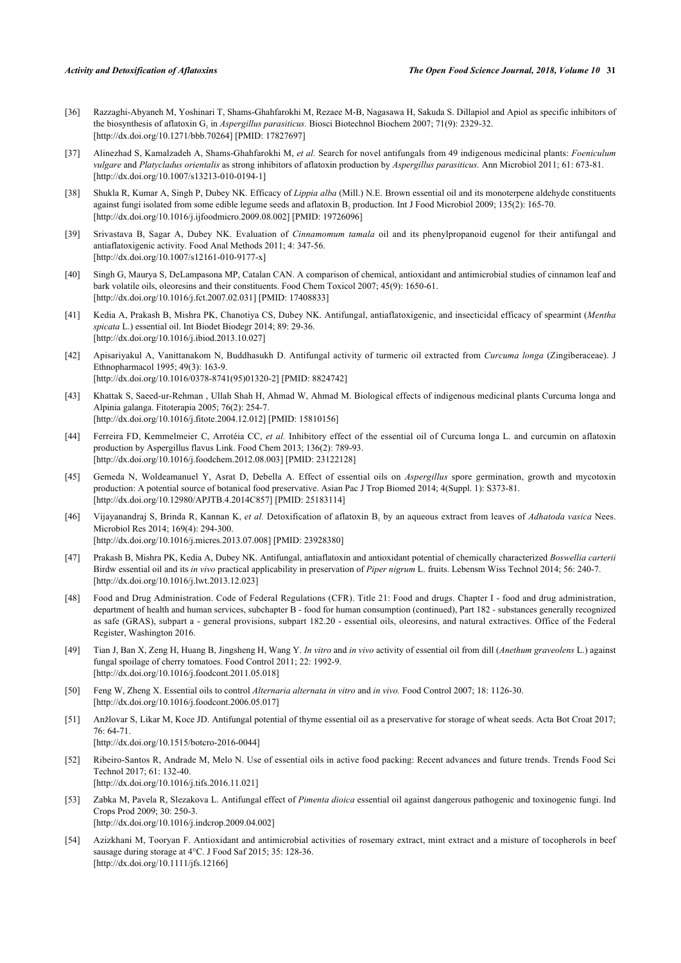- <span id="page-7-1"></span>[36] Razzaghi-Abyaneh M, Yoshinari T, Shams-Ghahfarokhi M, Rezaee M-B, Nagasawa H, Sakuda S. Dillapiol and Apiol as specific inhibitors of the biosynthesis of aflatoxin  $G_1$  in *Aspergillus parasiticus*. Biosci Biotechnol Biochem 2007; 71(9): 2329-32. [\[http://dx.doi.org/10.1271/bbb.70264\]](http://dx.doi.org/10.1271/bbb.70264) [PMID: [17827697](http://www.ncbi.nlm.nih.gov/pubmed/17827697)]
- <span id="page-7-2"></span>[37] Alinezhad S, Kamalzadeh A, Shams-Ghahfarokhi M, *et al.* Search for novel antifungals from 49 indigenous medicinal plants: *Foeniculum vulgare* and *Platycladus orientalis* as strong inhibitors of aflatoxin production by *Aspergillus parasiticus.* Ann Microbiol 2011; 61: 673-81. [\[http://dx.doi.org/10.1007/s13213-010-0194-1\]](http://dx.doi.org/10.1007/s13213-010-0194-1)
- <span id="page-7-5"></span>[38] Shukla R, Kumar A, Singh P, Dubey NK. Efficacy of *Lippia alba* (Mill.) N.E. Brown essential oil and its monoterpene aldehyde constituents against fungi isolated from some edible legume seeds and aflatoxin  $B_1$  production. Int J Food Microbiol 2009; 135(2): 165-70. [\[http://dx.doi.org/10.1016/j.ijfoodmicro.2009.08.002\]](http://dx.doi.org/10.1016/j.ijfoodmicro.2009.08.002) [PMID: [19726096](http://www.ncbi.nlm.nih.gov/pubmed/19726096)]
- <span id="page-7-3"></span>[39] Srivastava B, Sagar A, Dubey NK. Evaluation of *Cinnamomum tamala* oil and its phenylpropanoid eugenol for their antifungal and antiaflatoxigenic activity. Food Anal Methods 2011; 4: 347-56. [\[http://dx.doi.org/10.1007/s12161-010-9177-x\]](http://dx.doi.org/10.1007/s12161-010-9177-x)
- <span id="page-7-8"></span>[40] Singh G, Maurya S, DeLampasona MP, Catalan CAN. A comparison of chemical, antioxidant and antimicrobial studies of cinnamon leaf and bark volatile oils, oleoresins and their constituents. Food Chem Toxicol 2007; 45(9): 1650-61. [\[http://dx.doi.org/10.1016/j.fct.2007.02.031](http://dx.doi.org/10.1016/j.fct.2007.02.031)] [PMID: [17408833](http://www.ncbi.nlm.nih.gov/pubmed/17408833)]
- <span id="page-7-6"></span>[41] Kedia A, Prakash B, Mishra PK, Chanotiya CS, Dubey NK. Antifungal, antiaflatoxigenic, and insecticidal efficacy of spearmint (*Mentha spicata* L.) essential oil. Int Biodet Biodegr 2014; 89: 29-36. [\[http://dx.doi.org/10.1016/j.ibiod.2013.10.027](http://dx.doi.org/10.1016/j.ibiod.2013.10.027)]
- <span id="page-7-9"></span>[42] Apisariyakul A, Vanittanakom N, Buddhasukh D. Antifungal activity of turmeric oil extracted from *Curcuma longa* (Zingiberaceae). J Ethnopharmacol 1995; 49(3): 163-9. [\[http://dx.doi.org/10.1016/0378-8741\(95\)01320-2](http://dx.doi.org/10.1016/0378-8741(95)01320-2)] [PMID: [8824742](http://www.ncbi.nlm.nih.gov/pubmed/8824742)]
- <span id="page-7-10"></span>[43] Khattak S, Saeed-ur-Rehman , Ullah Shah H, Ahmad W, Ahmad M. Biological effects of indigenous medicinal plants Curcuma longa and Alpinia galanga. Fitoterapia 2005; 76(2): 254-7. [\[http://dx.doi.org/10.1016/j.fitote.2004.12.012\]](http://dx.doi.org/10.1016/j.fitote.2004.12.012) [PMID: [15810156](http://www.ncbi.nlm.nih.gov/pubmed/15810156)]
- <span id="page-7-4"></span>[44] Ferreira FD, Kemmelmeier C, Arrotéia CC, et al. Inhibitory effect of the essential oil of Curcuma longa L. and curcumin on aflatoxin production by Aspergillus flavus Link. Food Chem 2013; 136(2): 789-93. [\[http://dx.doi.org/10.1016/j.foodchem.2012.08.003](http://dx.doi.org/10.1016/j.foodchem.2012.08.003)] [PMID: [23122128\]](http://www.ncbi.nlm.nih.gov/pubmed/23122128)
- <span id="page-7-7"></span>[45] Gemeda N, Woldeamanuel Y, Asrat D, Debella A. Effect of essential oils on *Aspergillus* spore germination, growth and mycotoxin production: A potential source of botanical food preservative. Asian Pac J Trop Biomed 2014; 4(Suppl. 1): S373-81. [\[http://dx.doi.org/10.12980/APJTB.4.2014C857\]](http://dx.doi.org/10.12980/APJTB.4.2014C857) [PMID: [25183114](http://www.ncbi.nlm.nih.gov/pubmed/25183114)]
- <span id="page-7-11"></span>[46] Vijayanandraj S, Brinda R, Kannan K, et al. Detoxification of aflatoxin B<sub>1</sub> by an aqueous extract from leaves of *Adhatoda vasica* Nees. Microbiol Res 2014; 169(4): 294-300. [\[http://dx.doi.org/10.1016/j.micres.2013.07.008](http://dx.doi.org/10.1016/j.micres.2013.07.008)] [PMID: [23928380\]](http://www.ncbi.nlm.nih.gov/pubmed/23928380)
- <span id="page-7-12"></span>[47] Prakash B, Mishra PK, Kedia A, Dubey NK. Antifungal, antiaflatoxin and antioxidant potential of chemically characterized *Boswellia carterii* Birdw essential oil and its *in vivo* practical applicability in preservation of *Piper nigrum* L. fruits. Lebensm Wiss Technol 2014; 56: 240-7. [\[http://dx.doi.org/10.1016/j.lwt.2013.12.023](http://dx.doi.org/10.1016/j.lwt.2013.12.023)]
- <span id="page-7-13"></span>[48] Food and Drug Administration. Code of Federal Regulations (CFR). Title 21: Food and drugs. Chapter I - food and drug administration, department of health and human services, subchapter B - food for human consumption (continued), Part 182 - substances generally recognized as safe (GRAS), subpart a - general provisions, subpart 182.20 - essential oils, oleoresins, and natural extractives. Office of the Federal Register, Washington 2016.
- <span id="page-7-14"></span>[49] Tian J, Ban X, Zeng H, Huang B, Jingsheng H, Wang Y. *In vitro* and *in vivo* activity of essential oil from dill (*Anethum graveolens* L.) against fungal spoilage of cherry tomatoes. Food Control 2011; 22: 1992-9. [\[http://dx.doi.org/10.1016/j.foodcont.2011.05.018](http://dx.doi.org/10.1016/j.foodcont.2011.05.018)]
- <span id="page-7-15"></span>[50] Feng W, Zheng X. Essential oils to control *Alternaria alternata in vitro* and *in vivo.* Food Control 2007; 18: 1126-30. [\[http://dx.doi.org/10.1016/j.foodcont.2006.05.017](http://dx.doi.org/10.1016/j.foodcont.2006.05.017)]
- <span id="page-7-16"></span>[51] Anžlovar S, Likar M, Koce JD. Antifungal potential of thyme essential oil as a preservative for storage of wheat seeds. Acta Bot Croat 2017; 76: 64-71. [\[http://dx.doi.org/10.1515/botcro-2016-0044\]](http://dx.doi.org/10.1515/botcro-2016-0044)
- <span id="page-7-17"></span>[52] Ribeiro-Santos R, Andrade M, Melo N. Use of essential oils in active food packing: Recent advances and future trends. Trends Food Sci Technol 2017; 61: 132-40. [\[http://dx.doi.org/10.1016/j.tifs.2016.11.021](http://dx.doi.org/10.1016/j.tifs.2016.11.021)]
- <span id="page-7-18"></span>[53] Zabka M, Pavela R, Slezakova L. Antifungal effect of *Pimenta dioica* essential oil against dangerous pathogenic and toxinogenic fungi. Ind Crops Prod 2009; 30: 250-3. [\[http://dx.doi.org/10.1016/j.indcrop.2009.04.002](http://dx.doi.org/10.1016/j.indcrop.2009.04.002)]
- <span id="page-7-0"></span>[54] Azizkhani M, Tooryan F. Antioxidant and antimicrobial activities of rosemary extract, mint extract and a misture of tocopherols in beef sausage during storage at 4°C. J Food Saf 2015; 35: 128-36. [\[http://dx.doi.org/10.1111/jfs.12166\]](http://dx.doi.org/10.1111/jfs.12166)